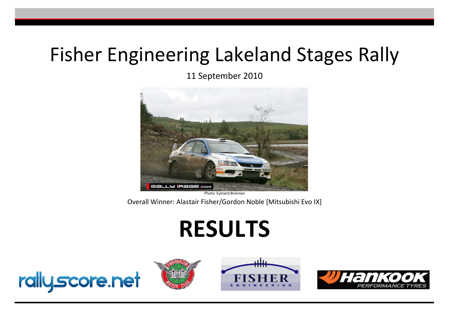## Fisher Engineering Lakeland Stages Rally

11 September 2010



Photo: Eymard Brennan

Overall Winner: Alastair Fisher/Gordon Noble [Mitsubishi Evo IX]

# **RESULTS**







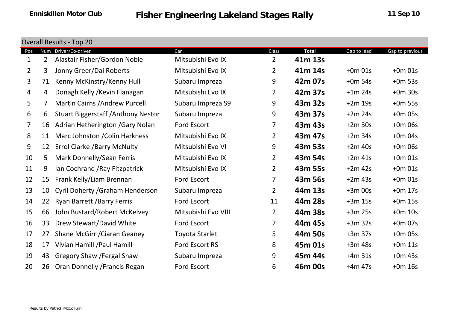|                | <b>Overall Results - Top 20</b> |                                            |                       |                |              |             |                 |  |  |  |  |  |
|----------------|---------------------------------|--------------------------------------------|-----------------------|----------------|--------------|-------------|-----------------|--|--|--|--|--|
| Pos            | Num                             | Driver/Co-driver                           | Car                   | Class          | <b>Total</b> | Gap to lead | Gap to previous |  |  |  |  |  |
| $\mathbf{1}$   | $\overline{2}$                  | Alastair Fisher/Gordon Noble               | Mitsubishi Evo IX     | $\overline{2}$ | 41m 13s      |             |                 |  |  |  |  |  |
| $\overline{2}$ | 3                               | Jonny Greer/Dai Roberts                    | Mitsubishi Evo IX     | $\overline{2}$ | 41m 14s      | $+0m$ 01s   | $+0m$ 01s       |  |  |  |  |  |
| $\overline{3}$ | 71                              | Kenny McKinstry/Kenny Hull                 | Subaru Impreza        | 9              | 42m 07s      | $+0m$ 54s   | $+0m$ 53s       |  |  |  |  |  |
| 4              | 4                               | Donagh Kelly / Kevin Flanagan              | Mitsubishi Evo IX     | 2              | 42m 37s      | $+1m$ 24s   | $+0m$ 30s       |  |  |  |  |  |
| 5              | 7                               | <b>Martin Cairns / Andrew Purcell</b>      | Subaru Impreza S9     | 9              | 43m 32s      | $+2m$ 19s   | $+0m$ 55s       |  |  |  |  |  |
| 6              | 6                               | <b>Stuart Biggerstaff / Anthony Nestor</b> | Subaru Impreza        | 9              | 43m 37s      | $+2m$ 24s   | $+0m$ 05s       |  |  |  |  |  |
| $\overline{7}$ | 16                              | Adrian Hetherington / Gary Nolan           | Ford Escort           | 7              | 43m 43s      | $+2m$ 30s   | $+0m$ 06s       |  |  |  |  |  |
| 8              | 11                              | Marc Johnston / Colin Harkness             | Mitsubishi Evo IX     | $\mathbf{2}$   | 43m 47s      | $+2m$ 34s   | $+0m$ 04s       |  |  |  |  |  |
| 9              | 12                              | <b>Errol Clarke / Barry McNulty</b>        | Mitsubishi Evo VI     | 9              | 43m 53s      | $+2m$ 40s   | $+0m$ 06s       |  |  |  |  |  |
| 10             | 5                               | Mark Donnelly/Sean Ferris                  | Mitsubishi Evo IX     | $\overline{2}$ | 43m 54s      | $+2m$ 41s   | $+0m$ 01s       |  |  |  |  |  |
| 11             | 9                               | Ian Cochrane / Ray Fitzpatrick             | Mitsubishi Evo IX     | $\overline{2}$ | 43m 55s      | $+2m$ 42s   | $+0m$ 01s       |  |  |  |  |  |
| 12             | 15                              | Frank Kelly/Liam Brennan                   | <b>Ford Escort</b>    | $\overline{7}$ | 43m 56s      | $+2m$ 43s   | $+0m$ 01s       |  |  |  |  |  |
| 13             | 10                              | Cyril Doherty / Graham Henderson           | Subaru Impreza        | $\overline{2}$ | 44m 13s      | $+3m$ 00s   | $+0m$ 17s       |  |  |  |  |  |
| 14             | 22                              | Ryan Barrett / Barry Ferris                | <b>Ford Escort</b>    | 11             | 44m 28s      | $+3m$ 15s   | $+0m$ 15s       |  |  |  |  |  |
| 15             | 66                              | John Bustard/Robert McKelvey               | Mitsubishi Evo VIII   | $\overline{2}$ | 44m 38s      | $+3m$ 25s   | $+0m$ 10s       |  |  |  |  |  |
| 16             | 33                              | Drew Stewart/David White                   | <b>Ford Escort</b>    | 7              | 44m 45s      | $+3m$ 32s   | $+0m$ 07s       |  |  |  |  |  |
| 17             | 27                              | Shane McGirr / Ciaran Geaney               | <b>Toyota Starlet</b> | 5              | 44m 50s      | $+3m37s$    | $+0m$ 05s       |  |  |  |  |  |
| 18             | 17                              | Vivian Hamill / Paul Hamill                | <b>Ford Escort RS</b> | 8              | 45m 01s      | $+3m48s$    | $+0m$ 11s       |  |  |  |  |  |
| 19             | 43                              | Gregory Shaw / Fergal Shaw                 | Subaru Impreza        | 9              | 45m 44s      | $+4m$ 31s   | $+0m$ 43s       |  |  |  |  |  |
| 20             | 26                              | Oran Donnelly / Francis Regan              | Ford Escort           | 6              | 46m 00s      | $+4m 47s$   | $+0m$ 16s       |  |  |  |  |  |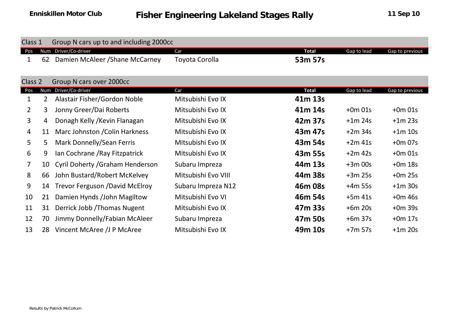| Class 1        |              | Group N cars up to and including 2000cc |                     |              |             |                 |
|----------------|--------------|-----------------------------------------|---------------------|--------------|-------------|-----------------|
| <b>Pos</b>     | <b>Num</b>   | Driver/Co-driver                        | Car                 | <b>Total</b> | Gap to lead | Gap to previous |
| 1              | 62           | Damien McAleer / Shane McCarney         | Toyota Corolla      | 53m 57s      |             |                 |
| Class 2        |              | Group N cars over 2000cc                |                     |              |             |                 |
| Pos            | Num          | Driver/Co-driver                        | Car                 | <b>Total</b> | Gap to lead | Gap to previous |
| $\mathbf 1$    | $\mathbf{2}$ | Alastair Fisher/Gordon Noble            | Mitsubishi Evo IX   | 41m 13s      |             |                 |
| $2^{\circ}$    | 3            | Jonny Greer/Dai Roberts                 | Mitsubishi Evo IX   | 41m 14s      | $+0m$ 01s   | $+0m$ 01s       |
| 3              | 4            | Donagh Kelly / Kevin Flanagan           | Mitsubishi Evo IX   | 42m 37s      | $+1m$ 24s   | $+1m$ 23s       |
| 4              | 11           | Marc Johnston / Colin Harkness          | Mitsubishi Evo IX   | 43m 47s      | $+2m$ 34s   | $+1m$ 10s       |
| 5              | 5.           | Mark Donnelly/Sean Ferris               | Mitsubishi Evo IX   | 43m 54s      | $+2m$ 41s   | $+0m$ 07s       |
| 6              | 9            | Ian Cochrane / Ray Fitzpatrick          | Mitsubishi Evo IX   | 43m 55s      | $+2m$ 42s   | $+0m$ 01s       |
| $\overline{7}$ | 10           | Cyril Doherty / Graham Henderson        | Subaru Impreza      | 44m 13s      | $+3m$ 00s   | $+0m$ 18s       |
| 8              | 66           | John Bustard/Robert McKelvey            | Mitsubishi Evo VIII | 44m 38s      | $+3m$ 25s   | $+0m$ 25s       |
| 9              | 14           | <b>Trevor Ferguson /David McElroy</b>   | Subaru Impreza N12  | 46m 08s      | $+4m$ 55s   | $+1m$ 30s       |
| 10             | 21           | Damien Hynds / John Magiltow            | Mitsubishi Evo VI   | 46m 54s      | $+5m$ 41s   | $+0m$ 46s       |
| 11             | 31           | Derrick Jobb / Thomas Nugent            | Mitsubishi Evo IX   | 47m 33s      | $+6m$ 20s   | $+0m$ 39s       |
| 12             | 70           | Jimmy Donnelly/Fabian McAleer           | Subaru Impreza      | 47m 50s      | $+6m$ 37s   | $+0m$ 17s       |
| 13             | 28           | Vincent McAree /J P McAree              | Mitsubishi Evo IX   | 49m 10s      | $+7m$ 57s   | $+1m$ 20s       |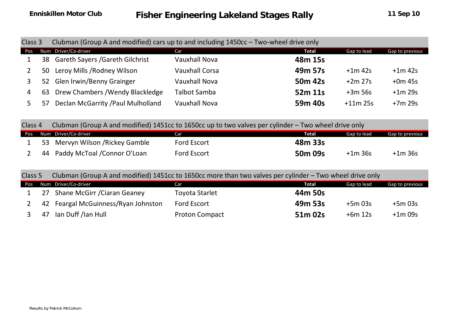| Class 3 |     | Clubman (Group A and modified) cars up to and including 1450cc - Two-wheel drive only |                       |                     |             |                 |  |  |  |  |  |
|---------|-----|---------------------------------------------------------------------------------------|-----------------------|---------------------|-------------|-----------------|--|--|--|--|--|
| Pos     |     | Num Driver/Co-driver                                                                  | Car                   | <b>Total</b>        | Gap to lead | Gap to previous |  |  |  |  |  |
|         |     | 38 Gareth Sayers / Gareth Gilchrist                                                   | <b>Vauxhall Nova</b>  | 48m 15s             |             |                 |  |  |  |  |  |
|         | 50  | Leroy Mills / Rodney Wilson                                                           | <b>Vauxhall Corsa</b> | 49m 57s             | $+1m$ 42s   | $+1m$ 42s       |  |  |  |  |  |
|         | 52  | <b>Glen Irwin/Benny Grainger</b>                                                      | <b>Vauxhall Nova</b>  | 50 <sub>m</sub> 42s | $+2m$ 27s   | $+0m$ 45s       |  |  |  |  |  |
| 4       | 63  | Drew Chambers / Wendy Blackledge                                                      | <b>Talbot Samba</b>   | 52m 11s             | $+3m$ 56s   | $+1m$ 29s       |  |  |  |  |  |
|         | -57 | Declan McGarrity / Paul Mulholland                                                    | <b>Vauxhall Nova</b>  | 59m 40s             | $+11m$ 25s  | $+7m$ 29s       |  |  |  |  |  |

| Class 4 |                                  | Clubman (Group A and modified) 1451cc to 1650cc up to two valves per cylinder – Two wheel drive only |                     |             |                 |
|---------|----------------------------------|------------------------------------------------------------------------------------------------------|---------------------|-------------|-----------------|
|         | Pos Num Driver/Co-driver         | Car                                                                                                  | Total               | Gap to lead | Gap to previous |
|         | 53 Mervyn Wilson / Rickey Gamble | Ford Escort                                                                                          | 48m 33s             |             |                 |
|         | 44 Paddy McToal / Connor O'Loan  | <b>Ford Escort</b>                                                                                   | 50 <sub>m</sub> 09s | $+1m$ 36s   | $+1m$ 36s       |

Class 5Clubman (Group A and modified) 1451cc to 1650cc more than two valves per cylinder – Two wheel drive only

| Pos | Num Driver/Co-driver                | Car                   | Total   | Gap to lead | Gap to previous |
|-----|-------------------------------------|-----------------------|---------|-------------|-----------------|
|     | 27 Shane McGirr / Ciaran Geaney     | Toyota Starlet        | 44m 50s |             |                 |
|     | 42 Feargal McGuinness/Ryan Johnston | Ford Escort           | 49m 53s | $+5m$ 03s   | $+5m$ 03s       |
|     | 47 Ian Duff /Ian Hull               | <b>Proton Compact</b> | 51m 02s | $+6m$ 12s   | $+1m$ 09s       |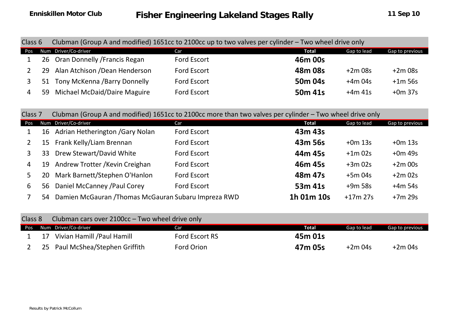| Class 6        |    | Clubman (Group A and modified) 1651cc to 2100cc up to two valves per cylinder – Two wheel drive only |                    |                     |             |           |  |  |  |  |  |  |
|----------------|----|------------------------------------------------------------------------------------------------------|--------------------|---------------------|-------------|-----------|--|--|--|--|--|--|
|                |    | Pos Num Driver/Co-driver                                                                             | Car                | Total               | Gap to lead |           |  |  |  |  |  |  |
|                |    | 26 Oran Donnelly / Francis Regan                                                                     | <b>Ford Escort</b> | 46m 00s             |             |           |  |  |  |  |  |  |
|                |    | 29 Alan Atchison / Dean Henderson                                                                    | <b>Ford Escort</b> | 48m 08s             | $+2m$ 08s   | $+2m$ 08s |  |  |  |  |  |  |
|                | 51 | Tony McKenna /Barry Donnelly                                                                         | <b>Ford Escort</b> | 50 <sub>m</sub> 04s | $+4m$ 04s   | $+1m$ 56s |  |  |  |  |  |  |
| $\overline{4}$ |    | 59 Michael McDaid/Daire Maguire                                                                      | <b>Ford Escort</b> | 50 <sub>m</sub> 41s | $+4m41s$    | $+0m$ 37s |  |  |  |  |  |  |

| Class 7        |    | Clubman (Group A and modified) 1651cc to 2100cc more than two valves per cylinder – Two wheel drive only |                    |            |             |                 |
|----------------|----|----------------------------------------------------------------------------------------------------------|--------------------|------------|-------------|-----------------|
| Pos            |    | Num Driver/Co-driver                                                                                     | Car                | Total      | Gap to lead | Gap to previous |
|                |    | 16 Adrian Hetherington / Gary Nolan                                                                      | <b>Ford Escort</b> | 43m 43s    |             |                 |
| $\overline{2}$ |    | 15 Frank Kelly/Liam Brennan                                                                              | <b>Ford Escort</b> | 43m 56s    | $+0m$ 13s   | $+0m$ 13s       |
| $\mathbf{3}$   | 33 | Drew Stewart/David White                                                                                 | <b>Ford Escort</b> | 44m 45s    | $+1m$ 02s   | $+0m$ 49s       |
| 4              |    | 19 Andrew Trotter / Kevin Creighan                                                                       | <b>Ford Escort</b> | 46m 45s    | $+3m$ 02s   | $+2m$ 00s       |
| 5.             | 20 | Mark Barnett/Stephen O'Hanlon                                                                            | <b>Ford Escort</b> | 48m 47s    | $+5m$ 04s   | $+2m$ 02s       |
| 6              | 56 | Daniel McCanney / Paul Corey                                                                             | <b>Ford Escort</b> | 53m 41s    | $+9m$ 58s   | $+4m$ 54s       |
|                | 54 | Damien McGauran / Thomas McGauran Subaru Impreza RWD                                                     |                    | 1h 01m 10s | $+17m$ 27s  | $+7m$ 29s       |

| Class 8 |    | Clubman cars over 2100cc - Two wheel drive only |                |         |             |                 |
|---------|----|-------------------------------------------------|----------------|---------|-------------|-----------------|
|         |    | Pos Num Driver/Co-driver                        | <b>Car</b>     | Total   | Gap to lead | Gap to previous |
|         | 17 | Vivian Hamill /Paul Hamill                      | Ford Escort RS | 45m 01s |             |                 |
|         |    | 25 Paul McShea/Stephen Griffith                 | Ford Orion     | 47m 05s | $+2m$ 04s   | $+2m$ 04s       |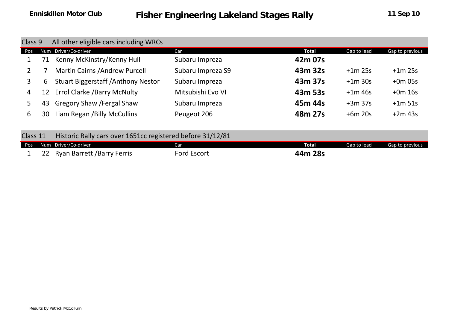| Class 9  |                                                  | All other eligible cars including WRCs                     |                    |              |             |                 |
|----------|--------------------------------------------------|------------------------------------------------------------|--------------------|--------------|-------------|-----------------|
| Pos      | Num                                              | Driver/Co-driver                                           | Car                | <b>Total</b> | Gap to lead | Gap to previous |
|          | 71                                               | Kenny McKinstry/Kenny Hull                                 | Subaru Impreza     | 42m 07s      |             |                 |
| $2^{-}$  |                                                  | <b>Martin Cairns / Andrew Purcell</b>                      | Subaru Impreza S9  | 43m 32s      | $+1m$ 25s   | $+1m$ 25s       |
| 3        | <b>Stuart Biggerstaff / Anthony Nestor</b><br>6. |                                                            | Subaru Impreza     | 43m 37s      | $+1m$ 30s   | $+0m$ 05s       |
| 4        | <b>Errol Clarke / Barry McNulty</b><br>12        |                                                            | Mitsubishi Evo VI  | 43m 53s      | $+1m$ 46s   | $+0m$ 16s       |
| 5        | 43                                               | <b>Gregory Shaw / Fergal Shaw</b>                          | Subaru Impreza     | 45m 44s      | $+3m$ 37s   | $+1m$ 51s       |
| 6        | 30                                               | Liam Regan / Billy McCullins                               | Peugeot 206        | 48m 27s      | $+6m$ 20s   | $+2m$ 43s       |
| Class 11 |                                                  | Historic Rally cars over 1651cc registered before 31/12/81 |                    |              |             |                 |
| Pos      | <b>Num</b>                                       | Driver/Co-driver                                           | Car                | <b>Total</b> | Gap to lead | Gap to previous |
|          |                                                  | <b>Ryan Barrett / Barry Ferris</b>                         | <b>Ford Escort</b> | 44m 28s      |             |                 |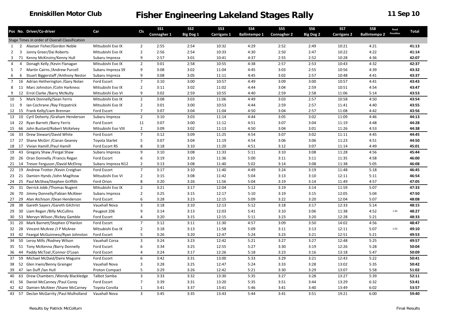|                 |                         | Pos No. Driver/Co-driver                       | Cls<br>Car            | <b>SS1</b>                       | SS <sub>2</sub> | SS3       | <b>SS4</b>         | SS <sub>5</sub>      | SS <sub>6</sub>    | SS7              | SS8                | Road                 |                  |       |
|-----------------|-------------------------|------------------------------------------------|-----------------------|----------------------------------|-----------------|-----------|--------------------|----------------------|--------------------|------------------|--------------------|----------------------|------------------|-------|
|                 |                         |                                                |                       |                                  | Connagher 1     | Big Dog 1 | <b>Carrigans 1</b> | <b>Ballintempo 1</b> | <b>Connagher 2</b> | <b>Big Dog 2</b> | <b>Carrigans 2</b> | <b>Ballintempo 2</b> | <b>Penalties</b> | Total |
|                 |                         | Stage Times in order of Overall Classification |                       |                                  |                 |           |                    |                      |                    |                  |                    |                      |                  |       |
|                 |                         | 1 2 Alastair Fisher/Gordon Noble               | Mitsubishi Evo IX     | 2                                | 2:55            | 2:54      | 10:32              | 4:29                 | 2:52               | 2:49             | 10:21              | 4:21                 |                  | 41:13 |
| 2               | $\overline{\mathbf{3}}$ | Jonny Greer/Dai Roberts                        | Mitsubishi Evo IX     | $\overline{2}$                   | 2:56            | 2:54      | 10:33              | 4:30                 | 2:50               | 2:47             | 10:22              | 4:22                 |                  | 41:14 |
| 3               |                         | 71 Kenny McKinstry/Kenny Hull                  | Subaru Impreza        | 9                                | 2:57            | 3:01      | 10:41              | 4:37                 | 2:55               | 2:52             | 10:28              | 4:36                 |                  | 42:07 |
| 4               | 4                       | Donagh Kelly / Kevin Flanagan                  | Mitsubishi Evo IX     | $\overline{2}$                   | 3:01            | 2:58      | 10:55              | 4:38                 | 2:57               | 2:53             | 10:43              | 4:32                 |                  | 42:37 |
| 5               | $\overline{7}$          | Martin Cairns / Andrew Purcell                 | Subaru Impreza S9     | 9                                | 3:08            | 3:02      | 11:04              | 4:45                 | 3:03               | 2:55             | 10:56              | 4:39                 |                  | 43:32 |
| $6\overline{6}$ | 6                       | <b>Stuart Biggerstaff / Anthony Nestor</b>     | Subaru Impreza        | 9                                | 3:08            | 3:05      | 11:11              | 4:45                 | 3:02               | 2:57             | 10:48              | 4:41                 |                  | 43:37 |
| 7               |                         | 16 Adrian Hetherington / Gary Nolan            | Ford Escort           | $\overline{7}$                   | 3:10            | 3:00      | 10:57              | 4:49                 | 3:09               | 3:00             | 10:57              | 4:41                 |                  | 43:43 |
|                 |                         | 8 11 Marc Johnston / Colin Harkness            | Mitsubishi Evo IX     | $\overline{2}$                   | 3:11            | 3:02      | 11:02              | 4:44                 | 3:04               | 2:59             | 10:51              | 4:54                 |                  | 43:47 |
| 9               |                         | 12 Errol Clarke / Barry McNulty                | Mitsubishi Evo VI     | 9                                | 3:02            | 2:59      | 10:55              | 4:40                 | 2:59               | 2:58             | 11:06              | 5:14                 |                  | 43:53 |
| 10              |                         | 5 Mark Donnelly/Sean Ferris                    | Mitsubishi Evo IX     | $\overline{2}$                   | 3:08            | 3:03      | 11:06              | 4:49                 | 3:03               | 2:57             | 10:58              | 4:50                 |                  | 43:54 |
| 11 9            |                         | Ian Cochrane / Ray Fitzpatrick                 | Mitsubishi Evo IX     | $\overline{2}$                   | 3:01            | 3:00      | 10:53              | 4:44                 | 2:59               | 2:57             | 11:41              | 4:40                 |                  | 43:55 |
|                 |                         | 12 15 Frank Kelly/Liam Brennan                 | Ford Escort           | $\overline{7}$                   | 3:07            | 3:04      | 11:04              | 4:50                 | 3:04               | 2:57             | 11:08              | 4:42                 |                  | 43:56 |
|                 |                         | 13 10 Cyril Doherty / Graham Henderson         | Subaru Impreza        | $\overline{2}$                   | 3:10            | 3:03      | 11:14              | 4:44                 | 3:05               | 3:02             | 11:09              | 4:46                 |                  | 44:13 |
|                 |                         | 14 22 Ryan Barrett / Barry Ferris              | Ford Escort           | 11                               | 3:07            | 3:00      | 11:12              | 4:51                 | 3:07               | 3:04             | 11:19              | 4:48                 |                  | 44:28 |
| 15              |                         | 66 John Bustard/Robert McKelvey                | Mitsubishi Evo VIII   | $\overline{2}$                   | 3:09            | 3:02      | 11:13              | 4:50                 | 3:04               | 3:01             | 11:26              | 4:53                 |                  | 44:38 |
| 16              |                         | 33 Drew Stewart/David White                    | Ford Escort           | $\overline{7}$                   | 3:12            | 3:09      | 11:25              | 4:54                 | 3:07               | 3:02             | 11:11              | 4:45                 |                  | 44:45 |
|                 |                         | 17 27 Shane McGirr / Ciaran Geaney             | <b>Toyota Starlet</b> | 5                                | 3:07            | 3:04      | 11:19              | 4:54                 | 3:06               | 3:06             | 11:23              | 4:51                 |                  | 44:50 |
| 18              |                         | 17 Vivian Hamill / Paul Hamill                 | Ford Escort RS        | 8                                | 3:18            | 3:10      | 11:20              | 4:51                 | 3:12               | 3:07             | 11:14              | 4:49                 |                  | 45:01 |
| 19              | 43                      | Gregory Shaw / Fergal Shaw                     | Subaru Impreza        | 9                                | 3:10            | 3:08      | 11:33              | 5:11                 | 3:10               | 3:08             | 11:28              | 4:56                 |                  | 45:44 |
|                 |                         | 20 26 Oran Donnelly / Francis Regan            | Ford Escort           | 6                                | 3:19            | 3:10      | 11:36              | 5:00                 | 3:11               | 3:11             | 11:35              | 4:58                 |                  | 46:00 |
|                 |                         | 21 14 Trevor Ferguson / David McElroy          | Subaru Impreza N12    | $\overline{2}$                   | 3:13            | 3:08      | 11:40              | 5:02                 | 3:14               | 3:08             | 11:38              | 5:05                 |                  | 46:08 |
| 22              |                         | 19 Andrew Trotter / Kevin Creighan             | Ford Escort           | $\overline{7}$                   | 3:17            | 3:10      | 11:40              | 4:49                 | 3:24               | 3:19             | 11:48              | 5:18                 |                  | 46:45 |
| 23              |                         | 21 Damien Hynds /John Magiltow                 | Mitsubishi Evo VI     | $\overline{2}$                   | 3:15            | 3:08      | 11:42              | 5:04                 | 3:13               | 3:10             | 12:11              | 5:11                 |                  | 46:54 |
|                 |                         | 24 25 Paul McShea/Stephen Griffith             | Ford Orion            | 8                                | 3:20            | 3:26      | 11:56              | 5:04                 | 3:19               | 3:14             | 11:49              | 4:57                 |                  | 47:05 |
|                 |                         | 25 31 Derrick Jobb / Thomas Nugent             | Mitsubishi Evo IX     | $\overline{2}$                   | 3:21            | 3:17      | 12:04              | 5:12                 | 3:19               | 3:14             | 11:59              | 5:07                 |                  | 47:33 |
| 26              |                         | 70 Jimmy Donnelly/Fabian McAleer               | Subaru Impreza        | $\overline{2}$                   | 3:25            | 3:15      | 12:17              | 5:10                 | 3:19               | 3:15             | 12:05              | 5:04                 |                  | 47:50 |
|                 |                         | 27 29 Alan Atchison / Dean Henderson           | Ford Escort           | 6                                | 3:28            | 3:23      | 12:15              | 5:09                 | 3:22               | 3:20             | 12:04              | 5:07                 |                  | 48:08 |
|                 | -38                     | Gareth Sayers / Gareth Gilchrist               | Vauxhall Nova         | 3                                | 3:18            | 3:10      | 12:13              | 5:12                 | 3:18               | 3:17             | 12:33              | 5:14                 |                  | 48:15 |
| 28              |                         | 30 Liam Regan / Billy McCullins                | Peugeot 206           | 9                                | 3:14            | 3:13      | 12:03              | 5:41                 | 3:10               | 3:06             | 11:38              | 4:52                 | 1:30             | 48:27 |
| 29              |                         |                                                |                       |                                  |                 |           |                    |                      |                    |                  |                    |                      |                  |       |
| 30              |                         | 53 Mervyn Wilson / Rickey Gamble               | Ford Escort           | $\overline{4}$<br>$\overline{7}$ | 3:20<br>3:12    | 3:15      | 12:15              | 5:11                 | 3:23<br>3:09       | 3:20             | 12:28              | 5:21<br>4:56         |                  | 48:33 |
| 31              | 20                      | Mark Barnett/Stephen O'Hanlon                  | Ford Escort           |                                  |                 | 3:11      | 11:30              | 4:57                 |                    | 3:50             | 14:02              |                      |                  | 48:47 |
|                 |                         | 32 28 Vincent McAree /J P McAree               | Mitsubishi Evo IX     | $\overline{2}$                   | 3:18            | 3:13      | 11:58              | 5:09                 | 3:11               | 3:13             | 12:11              | 5:07                 | 1:50             | 49:10 |
|                 |                         | 33 42 Feargal McGuinness/Ryan Johnston         | Ford Escort           | 5                                | 3:26            | 3:20      | 12:47              | 5:24                 | 3:23               | 3:21             | 12:51              | 5:21                 |                  | 49:53 |
|                 |                         | 34 50 Leroy Mills / Rodney Wilson              | Vauxhall Corsa        | 3                                | 3:24            | 3:23      | 12:42              | 5:21                 | 3:27               | 3:27             | 12:48              | 5:25                 |                  | 49:57 |
|                 |                         | 35 51 Tony McKenna / Barry Donnelly            | Ford Escort           | 6                                | 3:34            | 3:25      | 12:55              | 5:27                 | 3:30               | 3:19             | 12:26              | 5:28                 |                  | 50:04 |
|                 |                         | 36 44 Paddy McToal / Connor O'Loan             | Ford Escort           | 4                                | 3:24            | 3:17      | 12:26              | 5:18                 | 3:23               | 3:16             | 13:18              | 5:47                 |                  | 50:09 |
|                 |                         | 37 59 Michael McDaid/Daire Maguire             | Ford Escort           | 6                                | 3:42            | 3:31      | 13:00              | 5:33                 | 3:29               | 3:21             | 12:43              | 5:22                 |                  | 50:41 |
|                 |                         | 38 52 Glen Irwin/Benny Grainger                | Vauxhall Nova         | 3                                | 3:28            | 3:25      | 12:47              | 5:24                 | 3:33               | 3:28             | 13:02              | 5:35                 |                  | 50:42 |
|                 |                         | 39 47 Ian Duff /Ian Hull                       | <b>Proton Compact</b> | .5                               | 3:29            | 3:26      | 12:42              | 5:21                 | 3:30               | 3:29             | 13:07              | 5:58                 |                  | 51:02 |
|                 |                         | 40 63 Drew Chambers / Wendy Blackledge         | Talbot Samba          | 3                                | 3:33            | 3:32      | 13:30              | 5:35                 | 3:27               | 3:28             | 13:27              | 5:39                 |                  | 52:11 |
|                 |                         | 41 56 Daniel McCanney / Paul Corey             | Ford Escort           | $\overline{7}$                   | 3:39            | 3:31      | 13:20              | 5:35                 | 3:51               | 3:44             | 13:29              | 6:32                 |                  | 53:41 |
|                 |                         | 42 62 Damien McAleer / Shane McCarney          | Toyota Corolla        | 1                                | 3:41            | 3:37      | 13:41              | 5:46                 | 3:41               | 3:40             | 13:49              | 6:02                 |                  | 53:57 |
|                 |                         | 43 57 Declan McGarrity / Paul Mulholland       | Vauxhall Nova         | $\mathbf{3}$                     | 3:45            | 3:35      | 13:43              | 5:44                 | 3:41               | 3:51             | 19:21              | 6:00                 |                  | 59:40 |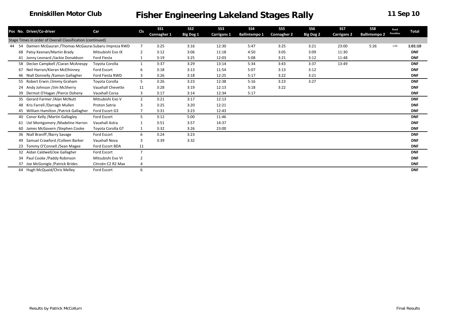|       |    |                                                            |                       |                | SS <sub>1</sub> | SS <sub>2</sub>  | SS <sub>3</sub>    | <b>SS4</b>           | SS <sub>5</sub>    | SS <sub>6</sub>  | SS7                | SS8                  | Road             |              |
|-------|----|------------------------------------------------------------|-----------------------|----------------|-----------------|------------------|--------------------|----------------------|--------------------|------------------|--------------------|----------------------|------------------|--------------|
|       |    | Pos No. Driver/Co-driver                                   | Car                   | <b>CIs</b>     | Connagher 1     | <b>Big Dog 1</b> | <b>Carrigans 1</b> | <b>Ballintempo 1</b> | <b>Connagher 2</b> | <b>Big Dog 2</b> | <b>Carrigans 2</b> | <b>Ballintempo 2</b> | <b>Penalties</b> | <b>Total</b> |
|       |    | Stage Times in order of Overall Classification (continued) |                       |                |                 |                  |                    |                      |                    |                  |                    |                      |                  |              |
| 44 54 |    | Damien McGauran / Thomas McGaurai Subaru Impreza RWD       |                       | $\overline{7}$ | 3:25            | 3:16             | 12:30              | 5:47                 | 3:25               | 3:21             | 23:00              | 5:26                 | 1:00             | 1:01:10      |
|       | 68 | Patsy Keenan/Martin Brady                                  | Mitsubishi Evo IX     | $\overline{2}$ | 3:12            | 3:06             | 11:18              | 4:50                 | 3:05               | 3:09             | 11:30              |                      |                  | <b>DNF</b>   |
|       |    | 41 Jonny Leonard /Jackie Donaldson                         | Ford Fiesta           |                | 3:19            | 3:25             | 12:03              | 5:08                 | 3:21               | 3:12             | 11:48              |                      |                  | <b>DNF</b>   |
|       |    | 58 Declan Campbell / Ciaran McAnespy                       | Toyota Corolla        | $\mathbf{1}$   | 3:37            | 3:29             | 13:14              | 5:34                 | 3:43               | 3:37             | 13:49              |                      |                  | <b>DNF</b>   |
|       |    | 67 Neil Harron/Kieran McElhinney                           | Ford Escort           | 6              | 3:18            | 3:13             | 11:54              | 5:07                 | 3:13               | 3:12             |                    |                      |                  | <b>DNF</b>   |
|       |    | 46 Niall Donnelly / Eamon Gallagher                        | Ford Fiesta RWD       | 3              | 3:26            | 3:18             | 12:25              | 5:17                 | 3:22               | 3:21             |                    |                      |                  | <b>DNF</b>   |
|       |    | 55 Robert Erwin /Jimmy Graham                              | Toyota Corolla        | 5              | 3:26            | 3:23             | 12:38              | 5:16                 | 3:23               | 3:27             |                    |                      |                  | <b>DNF</b>   |
|       |    | 24 Andy Johnson /Jim McSherry                              | Vauxhall Chevette     | 11             | 3:28            | 3:19             | 12:13              | 5:18                 | 3:22               |                  |                    |                      |                  | <b>DNF</b>   |
|       |    | 39 Dermot O'Hagan / Pierce Doheny                          | <b>Vauxhall Corsa</b> | 3              | 3:17            | 3:14             | 12:34              | 5:17                 |                    |                  |                    |                      |                  | <b>DNF</b>   |
|       |    | 35 Gerard Farmer / Alan McNutt                             | Mitsubishi Evo V      | $\overline{2}$ | 3:21            | 3:17             | 12:13              |                      |                    |                  |                    |                      |                  | <b>DNF</b>   |
|       |    | 48 Kris Farrell / Darragh Mullen                           | Proton Satria         | 3              | 3:25            | 3:20             | 12:21              |                      |                    |                  |                    |                      |                  | <b>DNF</b>   |
|       |    | 45 William Hamilton / Patrick Gallagher                    | Ford Escort G3        |                | 3:31            | 3:23             | 12:43              |                      |                    |                  |                    |                      |                  | <b>DNF</b>   |
|       |    | 40 Conor Kelly / Martin Gallogley                          | Ford Escort           | 5              | 3:12            | 5:00             | 11:46              |                      |                    |                  |                    |                      |                  | <b>DNF</b>   |
|       | 61 | Uel Montgomery / Madeline Harron                           | Vauxhall Astra        |                | 3:51            | 3:57             | 14:37              |                      |                    |                  |                    |                      |                  | <b>DNF</b>   |
|       |    | 60 James McGovern / Stephen Cooke                          | Toyota Corolla GT     |                | 3:32            | 3:26             | 23:00              |                      |                    |                  |                    |                      |                  | <b>DNF</b>   |
|       |    | 36 Niall Braniff / Barry Savage                            | Ford Escort           | 6              | 3:24            | 3:23             |                    |                      |                    |                  |                    |                      |                  | <b>DNF</b>   |
|       |    | 49 Samuel Crawford / Colleen Barker                        | Vauxhall Nova         | 3              | 3:39            | 3:32             |                    |                      |                    |                  |                    |                      |                  | <b>DNF</b>   |
|       |    | 23 Tommy O'Connell / Sean Magee                            | Ford Escort BDA       | 11             |                 |                  |                    |                      |                    |                  |                    |                      |                  | <b>DNF</b>   |
|       |    | 32 Aidan Caldwell/Joe Gallagher                            | Ford Escort           | $\overline{7}$ |                 |                  |                    |                      |                    |                  |                    |                      |                  | <b>DNF</b>   |
|       | 34 | Paul Cooke /Paddy Robinson                                 | Mitsubishi Evo VI     | $\overline{2}$ |                 |                  |                    |                      |                    |                  |                    |                      |                  | <b>DNF</b>   |
|       |    | 37 Joe McGonigle / Patrick Brides                          | Citroën C2 R2 Max     |                |                 |                  |                    |                      |                    |                  |                    |                      |                  | <b>DNF</b>   |
|       |    | 64 Hugh McQuaid/Chris Melley                               | Ford Escort           | 6              |                 |                  |                    |                      |                    |                  |                    |                      |                  | <b>DNF</b>   |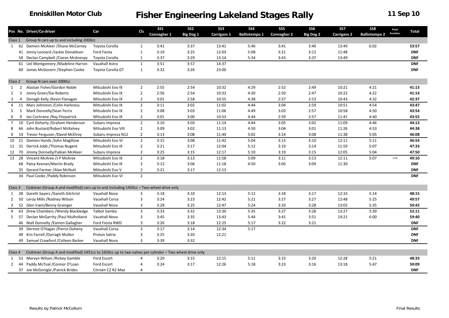|                |       | Pos No. Driver/Co-driver                                                                             | Car                   | <b>CIs</b>     | SS <sub>1</sub> | SS <sub>2</sub> | SS <sub>3</sub> | <b>SS4</b>           | SS <sub>5</sub>    | SS <sub>6</sub>  | <b>SS7</b>         | SS8                  | Road      | <b>Total</b> |
|----------------|-------|------------------------------------------------------------------------------------------------------|-----------------------|----------------|-----------------|-----------------|-----------------|----------------------|--------------------|------------------|--------------------|----------------------|-----------|--------------|
|                |       |                                                                                                      |                       |                | Connagher 1     | Big Dog 1       | Carrigans 1     | <b>Ballintempo 1</b> | <b>Connagher 2</b> | <b>Big Dog 2</b> | <b>Carrigans 2</b> | <b>Ballintempo 2</b> | Penalties |              |
| Class 1        |       | Group N cars up to and including 2000cc                                                              |                       |                |                 |                 |                 |                      |                    |                  |                    |                      |           |              |
|                | 1 62  | Damien McAleer / Shane McCarney                                                                      | Toyota Corolla        | 1              | 3:41            | 3:37            | 13:41           | 5:46                 | 3:41               | 3:40             | 13:49              | 6:02                 |           | 53:57        |
|                |       | 41 Jonny Leonard /Jackie Donaldson                                                                   | Ford Fiesta           | $\mathbf{1}$   | 3:19            | 3:25            | 12:03           | 5:08                 | 3:21               | 3:12             | 11:48              |                      |           | <b>DNF</b>   |
|                |       | 58 Declan Campbell / Ciaran McAnespy                                                                 | Toyota Corolla        | 1              | 3:37            | 3:29            | 13:14           | 5:34                 | 3:43               | 3:37             | 13:49              |                      |           | <b>DNF</b>   |
|                |       | 61 Uel Montgomery / Madeline Harron                                                                  | Vauxhall Astra        | $\mathbf{1}$   | 3:51            | 3:57            | 14:37           |                      |                    |                  |                    |                      |           | <b>DNF</b>   |
|                |       | 60 James McGovern / Stephen Cooke                                                                    | Toyota Corolla GT     | 1              | 3:32            | 3:26            | 23:00           |                      |                    |                  |                    |                      |           | <b>DNF</b>   |
| Class 2        |       | Group N cars over 2000cc                                                                             |                       |                |                 |                 |                 |                      |                    |                  |                    |                      |           |              |
|                |       | Alastair Fisher/Gordon Noble                                                                         | Mitsubishi Evo IX     | $\overline{2}$ | 2:55            | 2:54            | 10:32           | 4:29                 | 2:52               | 2:49             | 10:21              | 4:21                 |           | 41:13        |
| 1              | 2     |                                                                                                      |                       |                |                 |                 |                 |                      |                    |                  |                    |                      |           |              |
| $\overline{2}$ | 3     | Jonny Greer/Dai Roberts                                                                              | Mitsubishi Evo IX     | $\overline{2}$ | 2:56            | 2:54            | 10:33           | 4:30                 | 2:50               | 2:47             | 10:22              | 4:22                 |           | 41:14        |
| 3              | 4     | Donagh Kelly / Kevin Flanagan                                                                        | Mitsubishi Evo IX     | $\overline{2}$ | 3:01            | 2:58            | 10:55           | 4:38                 | 2:57               | 2:53             | 10:43              | 4:32                 |           | 42:37        |
| 4              | 11    | Marc Johnston / Colin Harkness                                                                       | Mitsubishi Evo IX     | $\overline{2}$ | 3:11            | 3:02            | 11:02           | 4:44                 | 3:04               | 2:59             | 10:51              | 4:54                 |           | 43:47        |
| 5              | 5     | Mark Donnelly/Sean Ferris                                                                            | Mitsubishi Evo IX     | $\overline{2}$ | 3:08            | 3:03            | 11:06           | 4:49                 | 3:03               | 2:57             | 10:58              | 4:50                 |           | 43:54        |
| 6              | 9     | Ian Cochrane / Ray Fitzpatrick                                                                       | Mitsubishi Evo IX     | $\overline{2}$ | 3:01            | 3:00            | 10:53           | 4:44                 | 2:59               | 2:57             | 11:41              | 4:40                 |           | 43:55        |
| $\overline{7}$ | 10    | Cyril Doherty / Graham Henderson                                                                     | Subaru Impreza        | $\overline{2}$ | 3:10            | 3:03            | 11:14           | 4:44                 | 3:05               | 3:02             | 11:09              | 4:46                 |           | 44:13        |
| 8              | 66    | John Bustard/Robert McKelvey                                                                         | Mitsubishi Evo VIII   | $\overline{2}$ | 3:09            | 3:02            | 11:13           | 4:50                 | 3:04               | 3:01             | 11:26              | 4:53                 |           | 44:38        |
| 9              | 14    | Trevor Ferguson /David McElroy                                                                       | Subaru Impreza N12    | $\overline{2}$ | 3:13            | 3:08            | 11:40           | 5:02                 | 3:14               | 3:08             | 11:38              | 5:05                 |           | 46:08        |
| 10             | 21    | Damien Hynds /John Magiltow                                                                          | Mitsubishi Evo VI     | $\overline{2}$ | 3:15            | 3:08            | 11:42           | 5:04                 | 3:13               | 3:10             | 12:11              | 5:11                 |           | 46:54        |
|                | 11 31 | Derrick Jobb / Thomas Nugent                                                                         | Mitsubishi Evo IX     | $\overline{2}$ | 3:21            | 3:17            | 12:04           | 5:12                 | 3:19               | 3:14             | 11:59              | 5:07                 |           | 47:33        |
| 12             | 70    | Jimmy Donnelly/Fabian McAleer                                                                        | Subaru Impreza        | $\overline{2}$ | 3:25            | 3:15            | 12:17           | 5:10                 | 3:19               | 3:15             | 12:05              | 5:04                 |           | 47:50        |
|                |       | 13 28 Vincent McAree /J P McAree                                                                     | Mitsubishi Evo IX     | $\overline{2}$ | 3:18            | 3:13            | 11:58           | 5:09                 | 3:11               | 3:13             | 12:11              | 5:07                 | 1:50      | 49:10        |
|                |       | 68 Patsy Keenan/Martin Brady                                                                         | Mitsubishi Evo IX     | $\overline{2}$ | 3:12            | 3:06            | 11:18           | 4:50                 | 3:05               | 3:09             | 11:30              |                      |           | <b>DNF</b>   |
|                |       | 35 Gerard Farmer / Alan McNutt                                                                       | Mitsubishi Evo V      | $\overline{2}$ | 3:21            | 3:17            | 12:13           |                      |                    |                  |                    |                      |           | <b>DNF</b>   |
|                |       | 34 Paul Cooke /Paddy Robinson                                                                        | Mitsubishi Evo VI     | $\overline{2}$ |                 |                 |                 |                      |                    |                  |                    |                      |           | <b>DNF</b>   |
|                |       |                                                                                                      |                       |                |                 |                 |                 |                      |                    |                  |                    |                      |           |              |
| Class 3        |       | Clubman (Group A and modified) cars up to and including 1450cc - Two-wheel drive only                |                       |                |                 |                 |                 |                      |                    |                  |                    |                      |           |              |
| 1              | 38    | Gareth Sayers / Gareth Gilchrist                                                                     | Vauxhall Nova         | 3              | 3:18            | 3:10            | 12:13           | 5:12                 | 3:18               | 3:17             | 12:33              | 5:14                 |           | 48:15        |
| 2              | 50    | Leroy Mills / Rodney Wilson                                                                          | <b>Vauxhall Corsa</b> | 3              | 3:24            | 3:23            | 12:42           | 5:21                 | 3:27               | 3:27             | 12:48              | 5:25                 |           | 49:57        |
| 3              | 52    | Glen Irwin/Benny Grainger                                                                            | Vauxhall Nova         | 3              | 3:28            | 3:25            | 12:47           | 5:24                 | 3:33               | 3:28             | 13:02              | 5:35                 |           | 50:42        |
| 4              | 63    | Drew Chambers / Wendy Blackledge                                                                     | Talbot Samba          | 3              | 3:33            | 3:32            | 13:30           | 5:35                 | 3:27               | 3:28             | 13:27              | 5:39                 |           | 52:11        |
| 5              | 57    | Declan McGarrity / Paul Mulholland                                                                   | Vauxhall Nova         | 3              | 3:45            | 3:35            | 13:43           | 5:44                 | 3:41               | 3:51             | 19:21              | 6:00                 |           | 59:40        |
|                |       | 46 Niall Donnelly / Eamon Gallagher                                                                  | Ford Fiesta RWD       | 3              | 3:26            | 3:18            | 12:25           | 5:17                 | 3:22               | 3:21             |                    |                      |           | <b>DNF</b>   |
|                |       | 39 Dermot O'Hagan / Pierce Doheny                                                                    | Vauxhall Corsa        | $\overline{3}$ | 3:17            | 3:14            | 12:34           | 5:17                 |                    |                  |                    |                      |           | <b>DNF</b>   |
|                |       | 48 Kris Farrell / Darragh Mullen                                                                     | Proton Satria         | 3              | 3:25            | 3:20            | 12:21           |                      |                    |                  |                    |                      |           | <b>DNF</b>   |
|                |       | 49 Samuel Crawford / Colleen Barker                                                                  | Vauxhall Nova         | $\overline{3}$ | 3:39            | 3:32            |                 |                      |                    |                  |                    |                      |           | <b>DNF</b>   |
|                |       |                                                                                                      |                       |                |                 |                 |                 |                      |                    |                  |                    |                      |           |              |
| Class 4        |       | Clubman (Group A and modified) 1451cc to 1650cc up to two valves per cylinder - Two wheel drive only |                       |                |                 |                 |                 |                      |                    |                  |                    |                      |           |              |
| 1              | 53    | Mervyn Wilson / Rickey Gamble                                                                        | Ford Escort           |                | 3:20            | 3:15            | 12:15           | 5:11                 | 3:23               | 3:20             | 12:28              | 5:21                 |           | 48:33        |
| 2              | 44    | Paddy McToal / Connor O'Loan                                                                         | Ford Escort           | 4              | 3:24            | 3:17            | 12:26           | 5:18                 | 3:23               | 3:16             | 13:18              | 5:47                 |           | 50:09        |
|                |       | 37 Joe McGonigle / Patrick Brides                                                                    | Citroën C2 R2 Max     | 4              |                 |                 |                 |                      |                    |                  |                    |                      |           | <b>DNF</b>   |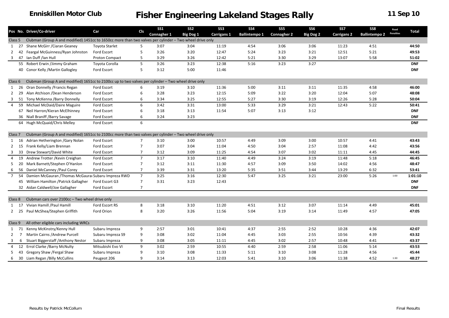|                    |                | Pos No. Driver/Co-driver                                                                                 |                       | Cls            | SS <sub>1</sub> | SS <sub>2</sub> | SS <sub>3</sub> | <b>SS4</b>           | SS <sub>5</sub>    | SS6       | SS7                | SS8                  | Road             |            |
|--------------------|----------------|----------------------------------------------------------------------------------------------------------|-----------------------|----------------|-----------------|-----------------|-----------------|----------------------|--------------------|-----------|--------------------|----------------------|------------------|------------|
|                    |                |                                                                                                          | Car                   |                | Connagher 1     | Big Dog 1       | Carrigans 1     | <b>Ballintempo 1</b> | <b>Connagher 2</b> | Big Dog 2 | <b>Carrigans 2</b> | <b>Ballintempo 2</b> | <b>Penalties</b> | Total      |
| Class 5            |                | Clubman (Group A and modified) 1451cc to 1650cc more than two valves per cylinder - Two wheel drive only |                       |                |                 |                 |                 |                      |                    |           |                    |                      |                  |            |
| 1                  | 27             | Shane McGirr / Ciaran Geaney                                                                             | <b>Toyota Starlet</b> | 5              | 3:07            | 3:04            | 11:19           | 4:54                 | 3:06               | 3:06      | 11:23              | 4:51                 |                  | 44:50      |
| 2                  | 42             | Feargal McGuinness/Ryan Johnston                                                                         | Ford Escort           | 5              | 3:26            | 3:20            | 12:47           | 5:24                 | 3:23               | 3:21      | 12:51              | 5:21                 |                  | 49:53      |
| 3                  | 47             | Ian Duff /Ian Hull                                                                                       | Proton Compact        | 5              | 3:29            | 3:26            | 12:42           | 5:21                 | 3:30               | 3:29      | 13:07              | 5:58                 |                  | 51:02      |
|                    |                | 55 Robert Erwin /Jimmy Graham                                                                            | Toyota Corolla        | 5              | 3:26            | 3:23            | 12:38           | 5:16                 | 3:23               | 3:27      |                    |                      |                  | <b>DNF</b> |
|                    |                | 40 Conor Kelly / Martin Gallogley                                                                        | Ford Escort           | 5              | 3:12            | 5:00            | 11:46           |                      |                    |           |                    |                      |                  | <b>DNF</b> |
|                    |                |                                                                                                          |                       |                |                 |                 |                 |                      |                    |           |                    |                      |                  |            |
| Class 6            |                | Clubman (Group A and modified) 1651cc to 2100cc up to two valves per cylinder - Two wheel drive only     |                       |                |                 |                 |                 |                      |                    |           |                    |                      |                  |            |
| 1                  | 26             | Oran Donnelly / Francis Regan                                                                            | Ford Escort           | 6              | 3:19            | 3:10            | 11:36           | 5:00                 | 3:11               | 3:11      | 11:35              | 4:58                 |                  | 46:00      |
| 2                  | 29             | Alan Atchison /Dean Henderson                                                                            | Ford Escort           | 6              | 3:28            | 3:23            | 12:15           | 5:09                 | 3:22               | 3:20      | 12:04              | 5:07                 |                  | 48:08      |
| 3                  |                | 51 Tony McKenna / Barry Donnelly                                                                         | Ford Escort           | 6              | 3:34            | 3:25            | 12:55           | 5:27                 | 3:30               | 3:19      | 12:26              | 5:28                 |                  | 50:04      |
| $\overline{4}$     | 59             | Michael McDaid/Daire Maguire                                                                             | Ford Escort           | 6              | 3:42            | 3:31            | 13:00           | 5:33                 | 3:29               | 3:21      | 12:43              | 5:22                 |                  | 50:41      |
|                    |                | 67 Neil Harron/Kieran McElhinney                                                                         | Ford Escort           | 6              | 3:18            | 3:13            | 11:54           | 5:07                 | 3:13               | 3:12      |                    |                      |                  | <b>DNF</b> |
|                    |                | 36 Niall Braniff / Barry Savage                                                                          | Ford Escort           | 6              | 3:24            | 3:23            |                 |                      |                    |           |                    |                      |                  | <b>DNF</b> |
|                    |                | 64 Hugh McQuaid/Chris Melley                                                                             | Ford Escort           | 6              |                 |                 |                 |                      |                    |           |                    |                      |                  | <b>DNF</b> |
|                    |                |                                                                                                          |                       |                |                 |                 |                 |                      |                    |           |                    |                      |                  |            |
| Class <sub>7</sub> |                | Clubman (Group A and modified) 1651cc to 2100cc more than two valves per cylinder - Two wheel drive only |                       |                |                 |                 |                 |                      |                    |           |                    |                      |                  |            |
| 1                  | -16            | Adrian Hetherington / Gary Nolan                                                                         | Ford Escort           | 7              | 3:10            | 3:00            | 10:57           | 4:49                 | 3:09               | 3:00      | 10:57              | 4:41                 |                  | 43:43      |
| 2                  | 15             | Frank Kelly/Liam Brennan                                                                                 | Ford Escort           | $\overline{7}$ | 3:07            | 3:04            | 11:04           | 4:50                 | 3:04               | 2:57      | 11:08              | 4:42                 |                  | 43:56      |
| 3                  | 33             | Drew Stewart/David White                                                                                 | Ford Escort           | 7              | 3:12            | 3:09            | 11:25           | 4:54                 | 3:07               | 3:02      | 11:11              | 4:45                 |                  | 44:45      |
| 4                  | 19             | Andrew Trotter / Kevin Creighan                                                                          | Ford Escort           | $\overline{7}$ | 3:17            | 3:10            | 11:40           | 4:49                 | 3:24               | 3:19      | 11:48              | 5:18                 |                  | 46:45      |
| 5                  | 20             | Mark Barnett/Stephen O'Hanlon                                                                            | Ford Escort           | $\overline{7}$ | 3:12            | 3:11            | 11:30           | 4:57                 | 3:09               | 3:50      | 14:02              | 4:56                 |                  | 48:47      |
| 6                  | 56             | Daniel McCanney / Paul Corey                                                                             | Ford Escort           | $\overline{7}$ | 3:39            | 3:31            | 13:20           | 5:35                 | 3:51               | 3:44      | 13:29              | 6:32                 |                  | 53:41      |
| $7\overline{ }$    | 54             | Damien McGauran / Thomas McGaurai Subaru Impreza RWD                                                     |                       | $\overline{7}$ | 3:25            | 3:16            | 12:30           | 5:47                 | 3:25               | 3:21      | 23:00              | 5:26                 | 1:00             | 1:01:10    |
|                    |                | 45 William Hamilton / Patrick Gallagher                                                                  | Ford Escort G3        | $\overline{7}$ | 3:31            | 3:23            | 12:43           |                      |                    |           |                    |                      |                  | <b>DNF</b> |
|                    |                | 32 Aidan Caldwell/Joe Gallagher                                                                          | Ford Escort           | $\overline{7}$ |                 |                 |                 |                      |                    |           |                    |                      |                  | <b>DNF</b> |
|                    |                |                                                                                                          |                       |                |                 |                 |                 |                      |                    |           |                    |                      |                  |            |
| Class 8            |                | Clubman cars over 2100cc - Two wheel drive only                                                          |                       |                |                 |                 |                 |                      |                    |           |                    |                      |                  |            |
|                    | 1 17           | Vivian Hamill / Paul Hamill                                                                              | Ford Escort RS        | 8              | 3:18            | 3:10            | 11:20           | 4:51                 | 3:12               | 3:07      | 11:14              | 4:49                 |                  | 45:01      |
|                    | 2 25           | Paul McShea/Stephen Griffith                                                                             | Ford Orion            | 8              | 3:20            | 3:26            | 11:56           | 5:04                 | 3:19               | 3:14      | 11:49              | 4:57                 |                  | 47:05      |
|                    |                |                                                                                                          |                       |                |                 |                 |                 |                      |                    |           |                    |                      |                  |            |
| Class 9            |                | All other eligible cars including WRCs                                                                   |                       |                |                 |                 |                 |                      |                    |           |                    |                      |                  |            |
| 1                  | - 71           | Kenny McKinstry/Kenny Hull                                                                               | Subaru Impreza        | 9              | 2:57            | 3:01            | 10:41           | 4:37                 | 2:55               | 2:52      | 10:28              | 4:36                 |                  | 42:07      |
| 2                  | $\overline{7}$ | Martin Cairns / Andrew Purcell                                                                           | Subaru Impreza S9     | 9              | 3:08            | 3:02            | 11:04           | 4:45                 | 3:03               | 2:55      | 10:56              | 4:39                 |                  | 43:32      |
| 3                  | 6              | <b>Stuart Biggerstaff / Anthony Nestor</b>                                                               | Subaru Impreza        | 9              | 3:08            | 3:05            | 11:11           | 4:45                 | 3:02               | 2:57      | 10:48              | 4:41                 |                  | 43:37      |
| 4                  | 12             | <b>Errol Clarke /Barry McNulty</b>                                                                       | Mitsubishi Evo VI     | 9              | 3:02            | 2:59            | 10:55           | 4:40                 | 2:59               | 2:58      | 11:06              | 5:14                 |                  | 43:53      |
| 5                  |                | 43 Gregory Shaw / Fergal Shaw                                                                            | Subaru Impreza        | 9              | 3:10            | 3:08            | 11:33           | 5:11                 | 3:10               | 3:08      | 11:28              | 4:56                 |                  | 45:44      |
| 6                  |                | 30 Liam Regan / Billy McCullins                                                                          | Peugeot 206           | 9              | 3:14            | 3:13            | 12:03           | 5:41                 | 3:10               | 3:06      | 11:38              | 4:52                 | 1:30             | 48:27      |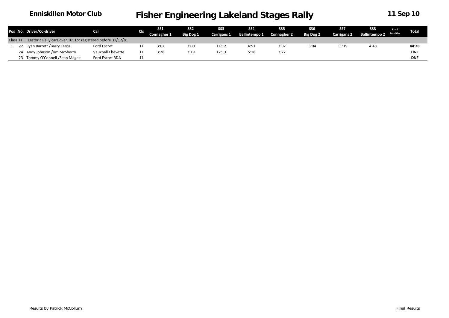|          | Pos No. Driver/Co-driver                                   | Car               |     |             | SS <sub>1</sub> | SS <sub>2</sub>    | <b>SS3</b>           | SS <sub>4</sub>    | SS <sub>5</sub> | SS6                | SS7                     | SS8 | Road       | Total |
|----------|------------------------------------------------------------|-------------------|-----|-------------|-----------------|--------------------|----------------------|--------------------|-----------------|--------------------|-------------------------|-----|------------|-------|
|          |                                                            |                   | Cls | Connagher 1 | Big Dog 1       | <b>Carrigans 1</b> | <b>Ballintempo 1</b> | <b>Connagher 2</b> | Big Dog 2       | <b>Carrigans 2</b> | Ballintempo 2 Penalties |     |            |       |
| Class 11 | Historic Rally cars over 1651cc registered before 31/12/81 |                   |     |             |                 |                    |                      |                    |                 |                    |                         |     |            |       |
|          | 22 Ryan Barrett /Barry Ferris                              | Ford Escort       |     | 3:07        | 3:00            | 11:12              | 4:51                 | 3:07               | 3:04            | 11:19              | 4:48                    |     | 44:28      |       |
|          | 24 Andy Johnson /Jim McSherry                              | Vauxhall Chevette |     | 3:28        | 3:19            | 12:13              | 5:18                 | 3:22               |                 |                    |                         |     | <b>DNF</b> |       |
|          | 23 Tommy O'Connell / Sean Magee                            | Ford Escort BDA   |     |             |                 |                    |                      |                    |                 |                    |                         |     | <b>DNF</b> |       |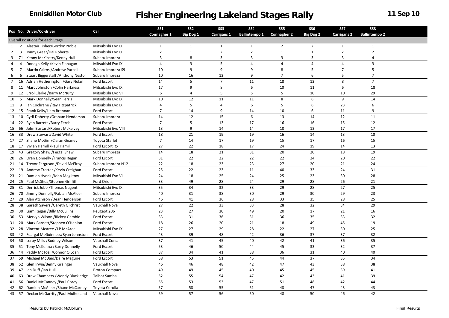|      |   |                                         |                              | <b>SS1</b>     | SS <sub>2</sub>  | SS <sub>3</sub> | <b>SS4</b>           | SS <sub>5</sub>    | SS <sub>6</sub>  | SS7                | SS8                  |  |
|------|---|-----------------------------------------|------------------------------|----------------|------------------|-----------------|----------------------|--------------------|------------------|--------------------|----------------------|--|
|      |   | Pos No. Driver/Co-driver                | Car                          | Connagher 1    | <b>Big Dog 1</b> | Carrigans 1     | <b>Ballintempo 1</b> | <b>Connagher 2</b> | <b>Big Dog 2</b> | <b>Carrigans 2</b> | <b>Ballintempo 2</b> |  |
|      |   | Overall Positions for each Stage        |                              |                |                  |                 |                      |                    |                  |                    |                      |  |
| 1    |   | 2 Alastair Fisher/Gordon Noble          | Mitsubishi Evo IX            | 1              | $\mathbf{1}$     | $\mathbf{1}$    | $\mathbf{1}$         | $\overline{2}$     | $\overline{2}$   | 1                  | 1                    |  |
| 2    | 3 | Jonny Greer/Dai Roberts                 | Mitsubishi Evo IX            | $\overline{2}$ | $\mathbf{1}$     | $\overline{2}$  | $\overline{2}$       | $\mathbf{1}$       | $\mathbf{1}$     | $\overline{2}$     | $\overline{2}$       |  |
|      |   | 3 71 Kenny McKinstry/Kenny Hull         | Subaru Impreza               | 3              | 8                | $\overline{3}$  | 3                    | 3                  | 3                | 3                  | 4                    |  |
| 4    | 4 | Donagh Kelly / Kevin Flanagan           | Mitsubishi Evo IX            | $\overline{4}$ | 3                | 5               | $\overline{4}$       | 4                  | $\overline{4}$   | 4                  | 3                    |  |
|      |   | 5 7 Martin Cairns / Andrew Purcell      | Subaru Impreza S9            | 10             | 9                | 9               | 9                    | 8                  | 5                | $\overline{7}$     | 5                    |  |
| 6    |   | 6 Stuart Biggerstaff / Anthony Nestor   | Subaru Impreza               | 10             | 16               | 12              | 9                    | $\overline{7}$     | 6                | 5                  | $\overline{7}$       |  |
|      |   | 7 16 Adrian Hetherington / Gary Nolan   | Ford Escort                  | 14             | 5                | $\overline{7}$  | 11                   | 18                 | 12               | 8                  | $\overline{7}$       |  |
|      |   | 8 11 Marc Johnston / Colin Harkness     | Mitsubishi Evo IX            | 17             | 9                | 8               | 6                    | 10                 | 11               | 6                  | 18                   |  |
|      |   | 9 12 Errol Clarke / Barry McNulty       | Mitsubishi Evo VI            | 6              | 4                | 5               | 5                    | 5                  | 10               | 10                 | 29                   |  |
|      |   | 10 5 Mark Donnelly/Sean Ferris          | Mitsubishi Evo IX            | 10             | 12               | 11              | 11                   | 8                  | 6                | 9                  | 14                   |  |
| 11 9 |   | Ian Cochrane / Ray Fitzpatrick          | Mitsubishi Evo IX            | 4              | 5                | $\overline{4}$  | 6                    | 5                  | 6                | 23                 | 6                    |  |
|      |   | 12 15 Frank Kelly/Liam Brennan          | Ford Escort                  | $\overline{7}$ | 14               | 9               | 14                   | 10                 | 6                | 11                 | 9                    |  |
|      |   | 13 10 Cyril Doherty / Graham Henderson  | Subaru Impreza               | 14             | 12               | 15              | 6                    | 13                 | 14               | 12                 | 11                   |  |
|      |   | 14 22 Ryan Barrett / Barry Ferris       | Ford Escort                  | $\overline{7}$ | 5                | 13              | 17                   | 16                 | 16               | 15                 | 12                   |  |
|      |   | 15 66 John Bustard/Robert McKelvey      | Mitsubishi Evo VIII          | 13             | 9                | 14              | 14                   | 10                 | 13               | 17                 | 17                   |  |
|      |   | 16 33 Drew Stewart/David White          | Ford Escort                  | 18             | 21               | 19              | 19                   | 16                 | 14               | 13                 | 10                   |  |
|      |   | 17 27 Shane McGirr / Ciaran Geaney      | <b>Toyota Starlet</b>        | $\overline{7}$ | 14               | 17              | 19                   | 15                 | 17               | 16                 | 15                   |  |
|      |   | 18 17 Vivian Hamill / Paul Hamill       | Ford Escort RS               | 27             | 22               | 18              | 17                   | 24                 | 19               | 14                 | 13                   |  |
|      |   | 19 43 Gregory Shaw / Fergal Shaw        | Subaru Impreza               | 14             | 18               | 21              | 31                   | 20                 | 20               | 18                 | 19                   |  |
|      |   | 20 26 Oran Donnelly / Francis Regan     | Ford Escort                  | 31             | 22               | 22              | 22                   | 22                 | 24               | 20                 | 22                   |  |
|      |   | 21 14 Trevor Ferguson / David McElroy   | Subaru Impreza N12           | 22             | 18               | 23              | 23                   | 27                 | 20               | 21                 | 24                   |  |
|      |   | 22 19 Andrew Trotter / Kevin Creighan   | Ford Escort                  | 25             | 22               | 23              | 11                   | 40                 | 33               | 24                 | 31                   |  |
|      |   | 23 21 Damien Hynds / John Magiltow      | Mitsubishi Evo VI            | 24             | 18               | 25              | 24                   | 25                 | 23               | 30                 | 28                   |  |
|      |   | 24 25 Paul McShea/Stephen Griffith      | Ford Orion                   | 33             | 49               | 28              | 24                   | 29                 | 28               | 26                 | 21                   |  |
|      |   | 25 31 Derrick Jobb / Thomas Nugent      | Mitsubishi Evo IX            | 35             | 34               | 32              | 33                   | 29                 | 28               | 27                 | 25                   |  |
|      |   | 26 70 Jimmy Donnelly/Fabian McAleer     | Subaru Impreza               | 40             | 31               | 38              | 30                   | 29                 | 30               | 29                 | 23                   |  |
|      |   |                                         |                              | 46             | 41               | 36              | 28                   | 33                 |                  | 28                 | 25                   |  |
|      |   | 27 29 Alan Atchison / Dean Henderson    | Ford Escort<br>Vauxhall Nova | 27             | 22               | 33              |                      | 28                 | 35<br>32         | 34                 | 29                   |  |
| 28   |   | 38 Gareth Sayers / Gareth Gilchrist     |                              |                |                  |                 | 33                   |                    |                  |                    |                      |  |
|      |   | 29 30 Liam Regan / Billy McCullins      | Peugeot 206                  | 23             | 27               | 30              | 49                   | 20                 | 17               | 21                 | 16                   |  |
|      |   | 30 53 Mervyn Wilson / Rickey Gamble     | Ford Escort                  | 33             | 31               | 36              | 31                   | 36                 | 35               | 33                 | 32                   |  |
|      |   | 31 20 Mark Barnett/Stephen O'Hanlon     | Ford Escort                  | 18             | 26               | 20              | 21                   | 18                 | 49               | 45                 | 19                   |  |
|      |   | 32 28 Vincent McAree /J P McAree        | Mitsubishi Evo IX            | 27             | 27               | 29              | 28                   | 22                 | 27               | 30                 | 25                   |  |
|      |   | 33 42 Feargal McGuinness/Ryan Johnston  | Ford Escort                  | 43             | 39               | 48              | 42                   | 36                 | 37               | 37                 | 32                   |  |
|      |   | 34 50 Leroy Mills / Rodney Wilson       | Vauxhall Corsa               | 37             | 41               | 45              | 40                   | 42                 | 41               | 36                 | 35                   |  |
|      |   | 35 51 Tony McKenna / Barry Donnelly     | Ford Escort                  | 53             | 46               | 50              | 44                   | 45                 | 33               | 32                 | 37                   |  |
|      |   | 36 44 Paddy McToal / Connor O'Loan      | Ford Escort                  | 37             | 34               | 41              | 38                   | 36                 | 31               | 40                 | 40                   |  |
|      |   | 37 59 Michael McDaid/Daire Maguire      | Ford Escort                  | 58             | 53               | 51              | 45                   | 44                 | 37               | 35                 | 34                   |  |
|      |   | 38 52 Glen Irwin/Benny Grainger         | Vauxhall Nova                | 46             | 46               | 48              | 42                   | 47                 | 43               | 38                 | 38                   |  |
|      |   | 39 47 Ian Duff /Ian Hull                | Proton Compact               | 49             | 49               | 45              | 40                   | 45                 | 45               | 39                 | 41                   |  |
|      |   | 40 63 Drew Chambers / Wendy Blackledge  | Talbot Samba                 | 52             | 55               | 54              | 47                   | 42                 | 43               | 41                 | 39                   |  |
|      |   | 41 56 Daniel McCanney / Paul Corey      | Ford Escort                  | 55             | 53               | 53              | 47                   | 51                 | 48               | 42                 | 44                   |  |
|      |   | 42 62 Damien McAleer / Shane McCarney   | Toyota Corolla               | 57             | 58               | 55              | 51                   | 48                 | 47               | 43                 | 43                   |  |
|      |   | 43 57 Declan McGarrity /Paul Mulholland | Vauxhall Nova                | 59             | 57               | 56              | 50                   | 48                 | 50               | 46                 | 42                   |  |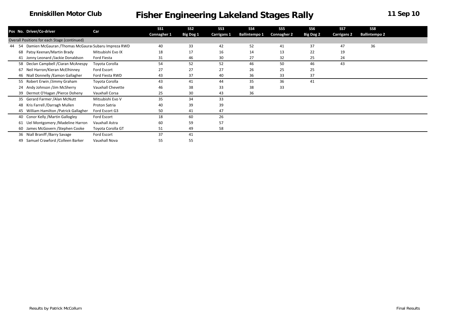|    |     |                                                     |                   | SS1         | SS <sub>2</sub>  | SS <sub>3</sub> | SS4                  | SS <sub>5</sub>    | SS <sub>6</sub>  | SS7                | SS8                  |  |
|----|-----|-----------------------------------------------------|-------------------|-------------|------------------|-----------------|----------------------|--------------------|------------------|--------------------|----------------------|--|
|    |     | Pos No. Driver/Co-driver                            | Car               | Connagher 1 | <b>Big Dog 1</b> | Carrigans 1     | <b>Ballintempo 1</b> | <b>Connagher 2</b> | <b>Big Dog 2</b> | <b>Carrigans 2</b> | <b>Ballintempo 2</b> |  |
|    |     | Overall Positions for each Stage (continued)        |                   |             |                  |                 |                      |                    |                  |                    |                      |  |
| 44 | -54 | Damien McGauran /Thomas McGaurai Subaru Impreza RWD |                   | 40          | 33               | 42              | 52                   | 41                 | 37               | 47                 | 36                   |  |
|    |     | 68 Patsy Keenan/Martin Brady                        | Mitsubishi Evo IX | 18          | 17               | 16              | 14                   | 13                 | 22               | 19                 |                      |  |
|    |     | 41 Jonny Leonard /Jackie Donaldson                  | Ford Fiesta       | 31          | 46               | 30              | 27                   | 32                 | 25               | 24                 |                      |  |
|    |     | 58 Declan Campbell / Ciaran McAnespy                | Toyota Corolla    | 54          | 52               | 52              | 46                   | 50                 | 46               | 43                 |                      |  |
|    | 67  | Neil Harron/Kieran McElhinney                       | Ford Escort       | 27          | 27               | 27              | 26                   | 25                 | 25               |                    |                      |  |
|    |     | 46 Niall Donnelly / Eamon Gallagher                 | Ford Fiesta RWD   | 43          | 37               | 40              | 36                   | 33                 | 37               |                    |                      |  |
|    |     | 55 Robert Erwin /Jimmy Graham                       | Toyota Corolla    | 43          | 41               | 44              | 35                   | 36                 | 41               |                    |                      |  |
|    |     | 24 Andy Johnson /Jim McSherry                       | Vauxhall Chevette | 46          | 38               | 33              | 38                   | 33                 |                  |                    |                      |  |
|    |     | 39 Dermot O'Hagan / Pierce Doheny                   | Vauxhall Corsa    | 25          | 30               | 43              | 36                   |                    |                  |                    |                      |  |
|    |     | 35 Gerard Farmer / Alan McNutt                      | Mitsubishi Evo V  | 35          | 34               | 33              |                      |                    |                  |                    |                      |  |
|    |     | 48 Kris Farrell / Darragh Mullen                    | Proton Satria     | 40          | 39               | 39              |                      |                    |                  |                    |                      |  |
|    |     | 45 William Hamilton / Patrick Gallagher             | Ford Escort G3    | 50          | 41               | 47              |                      |                    |                  |                    |                      |  |
|    |     | 40 Conor Kelly / Martin Gallogley                   | Ford Escort       | 18          | 60               | 26              |                      |                    |                  |                    |                      |  |
|    |     | 61 Uel Montgomery / Madeline Harron                 | Vauxhall Astra    | 60          | 59               | 57              |                      |                    |                  |                    |                      |  |
|    |     | 60 James McGovern / Stephen Cooke                   | Toyota Corolla GT | 51          | 49               | 58              |                      |                    |                  |                    |                      |  |
|    |     | 36 Niall Braniff / Barry Savage                     | Ford Escort       | 37          | 41               |                 |                      |                    |                  |                    |                      |  |
|    | 49  | Samuel Crawford / Colleen Barker                    | Vauxhall Nova     | 55          | 55               |                 |                      |                    |                  |                    |                      |  |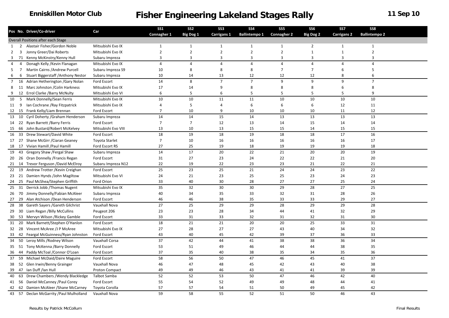|             |                 | Pos No. Driver/Co-driver                  | Car                   | <b>SS1</b>     | SS <sub>2</sub>  | SS <sub>3</sub> | SS <sub>4</sub>      | SS <sub>5</sub>    | SS <sub>6</sub>  | SS <sub>7</sub>    | SS8                  |  |
|-------------|-----------------|-------------------------------------------|-----------------------|----------------|------------------|-----------------|----------------------|--------------------|------------------|--------------------|----------------------|--|
|             |                 |                                           |                       | Connagher 1    | <b>Big Dog 1</b> | Carrigans 1     | <b>Ballintempo 1</b> | <b>Connagher 2</b> | <b>Big Dog 2</b> | <b>Carrigans 2</b> | <b>Ballintempo 2</b> |  |
|             |                 | <b>Overall Positions after each Stage</b> |                       |                |                  |                 |                      |                    |                  |                    |                      |  |
| 1           | $\overline{2}$  | Alastair Fisher/Gordon Noble              | Mitsubishi Evo IX     | $\mathbf{1}$   | $\mathbf{1}$     | $\mathbf{1}$    | $\mathbf{1}$         | 1                  | $\overline{2}$   | $\mathbf{1}$       | 1                    |  |
| 2           | 3               | Jonny Greer/Dai Roberts                   | Mitsubishi Evo IX     | $\overline{2}$ | $\overline{2}$   | $\overline{2}$  | $\overline{2}$       | $\overline{2}$     | $\mathbf 1$      | $\mathbf{1}$       | $\overline{2}$       |  |
| 3           | 71              | Kenny McKinstry/Kenny Hull                | Subaru Impreza        | 3              | 3                | $\overline{3}$  | 3                    | $\overline{3}$     | 3                | 3                  | 3                    |  |
| 4           | $\overline{4}$  | Donagh Kelly / Kevin Flanagan             | Mitsubishi Evo IX     | $\overline{4}$ | $\overline{4}$   | $\overline{4}$  | $\overline{4}$       | $\overline{4}$     | $\overline{4}$   | $\overline{4}$     | $\overline{4}$       |  |
| 5           | $\overline{7}$  | Martin Cairns / Andrew Purcell            | Subaru Impreza S9     | 10             | 8                | 8               | 8                    | $\overline{7}$     | $\overline{7}$   | 6                  | 5                    |  |
| 6           | 6               | Stuart Biggerstaff / Anthony Nestor       | Subaru Impreza        | 10             | 14               | 13              | 12                   | 12                 | 12               | 8                  | 6                    |  |
| $7^{\circ}$ | 16              | Adrian Hetherington / Gary Nolan          | Ford Escort           | 14             | 8                | $\overline{7}$  | $\overline{7}$       | 9                  | 9                | 9                  | $\overline{7}$       |  |
| 8           |                 | 11 Marc Johnston / Colin Harkness         | Mitsubishi Evo IX     | 17             | 14               | 9               | 8                    | 8                  | 8                | 6                  | 8                    |  |
| 9           | 12              | Errol Clarke /Barry McNulty               | Mitsubishi Evo VI     | 6              | 5                | 6               | 5                    | 5                  | 5                | 5                  | 9                    |  |
| 10          | $5\overline{5}$ | Mark Donnelly/Sean Ferris                 | Mitsubishi Evo IX     | 10             | 10               | 11              | 11                   | 10                 | 10               | 10                 | 10                   |  |
| 11          | 9               | Ian Cochrane / Ray Fitzpatrick            | Mitsubishi Evo IX     | 4              | 5                | $\overline{4}$  | 6                    | 6                  | 6                | 12                 | 11                   |  |
| 12          | - 15            | Frank Kelly/Liam Brennan                  | Ford Escort           | $\overline{7}$ | 10               | 9               | 10                   | 10                 | 10               | 11                 | 12                   |  |
| 13          | 10              | Cyril Doherty / Graham Henderson          | Subaru Impreza        | 14             | 14               | 15              | 14                   | 13                 | 13               | 13                 | 13                   |  |
| 14          | 22              | Ryan Barrett /Barry Ferris                | Ford Escort           | $\overline{7}$ | $\overline{7}$   | 12              | 13                   | 14                 | 15               | 14                 | 14                   |  |
| 15          | 66              | John Bustard/Robert McKelvey              | Mitsubishi Evo VIII   | 13             | 10               | 13              | 15                   | 15                 | 14               | 15                 | 15                   |  |
| 16          | 33              | Drew Stewart/David White                  | Ford Escort           | 18             | 19               | 18              | 19                   | 18                 | 18               | 17                 | 16                   |  |
|             | 17 27           | Shane McGirr / Ciaran Geaney              | <b>Toyota Starlet</b> | $\overline{7}$ | 10               | 16              | 16                   | 16                 | 16               | 16                 | 17                   |  |
| 18          | 17              | Vivian Hamill / Paul Hamill               | Ford Escort RS        | 27             | 25               | 19              | 18                   | 19                 | 19               | 19                 | 18                   |  |
| 19          | 43              | Gregory Shaw / Fergal Shaw                | Subaru Impreza        | 14             | 17               | 20              | 22                   | 21                 | 20               | 20                 | 19                   |  |
| 20          | - 26            | Oran Donnelly / Francis Regan             | Ford Escort           | 31             | 27               | 23              | 24                   | 22                 | 22               | 21                 | 20                   |  |
|             |                 | 21 14 Trevor Ferguson / David McElroy     | Subaru Impreza N12    | 22             | 19               | 22              | 23                   | 23                 | 21               | 22                 | 21                   |  |
| 22          | 19              | Andrew Trotter / Kevin Creighan           | Ford Escort           | 25             | 23               | 25              | 21                   | 24                 | 24               | 23                 | 22                   |  |
| 23          | 21              | Damien Hynds /John Magiltow               | Mitsubishi Evo VI     | 24             | 21               | 23              | 25                   | 25                 | 23               | 24                 | 23                   |  |
| 24          | 25              | Paul McShea/Stephen Griffith              | Ford Orion            | 33             | 40               | 30              | 28                   | 27                 | 27               | 25                 | 24                   |  |
| 25          | 31              | Derrick Jobb / Thomas Nugent              | Mitsubishi Evo IX     | 35             | 32               | 30              | 30                   | 29                 | 28               | 27                 | 25                   |  |
| 26          | 70              | Jimmy Donnelly/Fabian McAleer             | Subaru Impreza        | 40             | 34               | 35              | 33                   | 32                 | 31               | 28                 | 26                   |  |
|             | 27 29           | Alan Atchison /Dean Henderson             | Ford Escort           | 46             | 46               | 38              | 35                   | 33                 | 33               | 29                 | 27                   |  |
| 28          | 38              | Gareth Sayers / Gareth Gilchrist          | Vauxhall Nova         | 27             | 25               | 29              | 29                   | 28                 | 29               | 29                 | 28                   |  |
|             |                 |                                           |                       |                |                  |                 |                      |                    |                  |                    |                      |  |
| 29          | 30              | Liam Regan / Billy McCullins              | Peugeot 206           | 23             | 23               | 28              | 34                   | 44                 | 41               | 32                 | 29                   |  |
| 30          | -53             | Mervyn Wilson / Rickey Gamble             | Ford Escort           | 33             | 31               | 33              | 32                   | 31                 | 32               | 31                 | 30                   |  |
| 31          | 20              | Mark Barnett/Stephen O'Hanlon             | Ford Escort           | 18             | 21               | 21              | 20                   | 20                 | 25               | 33                 | 31                   |  |
|             | 32 28           | Vincent McAree /J P McAree                | Mitsubishi Evo IX     | 27             | 28               | 27              | 27                   | 43                 | 40               | 34                 | 32                   |  |
| 33          |                 | 42 Feargal McGuinness/Ryan Johnston       | Ford Escort           | 43             | 40               | 45              | 42                   | 39                 | 37               | 36                 | 33                   |  |
| 34          | 50              | Leroy Mills / Rodney Wilson               | Vauxhall Corsa        | 37             | 42               | 44              | 41                   | 38                 | 38               | 36                 | 34                   |  |
| 35          |                 | 51 Tony McKenna / Barry Donnelly          | Ford Escort           | 53             | 51               | 49              | 46                   | 44                 | 44               | 38                 | 35                   |  |
| 36          | 44              | Paddy McToal / Connor O'Loan              | Ford Escort           | 37             | 35               | 40              | 38                   | 35                 | 34               | 35                 | 36                   |  |
| 37          | 59              | Michael McDaid/Daire Maguire              | Ford Escort           | 58             | 56               | 50              | 47                   | 46                 | 45               | 41                 | 37                   |  |
| 38          | 52              | Glen Irwin/Benny Grainger                 | Vauxhall Nova         | 46             | 47               | 48              | 45                   | 42                 | 43               | 40                 | 38                   |  |
| 39          | 47              | Ian Duff /Ian Hull                        | Proton Compact        | 49             | 49               | 46              | 43                   | 41                 | 41               | 39                 | 39                   |  |
| 40          | 63              | Drew Chambers / Wendy Blackledge          | Talbot Samba          | 52             | 52               | 53              | 50                   | 47                 | 46               | 42                 | 40                   |  |
| 41          |                 | 56 Daniel McCanney / Paul Corey           | Ford Escort           | 55             | 54               | 52              | 49                   | 49                 | 48               | 44                 | 41                   |  |
| 42          |                 | 62 Damien McAleer / Shane McCarney        | Toyota Corolla        | 57             | 57               | 54              | 51                   | 50                 | 49               | 45                 | 42                   |  |
|             |                 | 43 57 Declan McGarrity / Paul Mulholland  | Vauxhall Nova         | 59             | 58               | 55              | 52                   | 51                 | 50               | 46                 | 43                   |  |